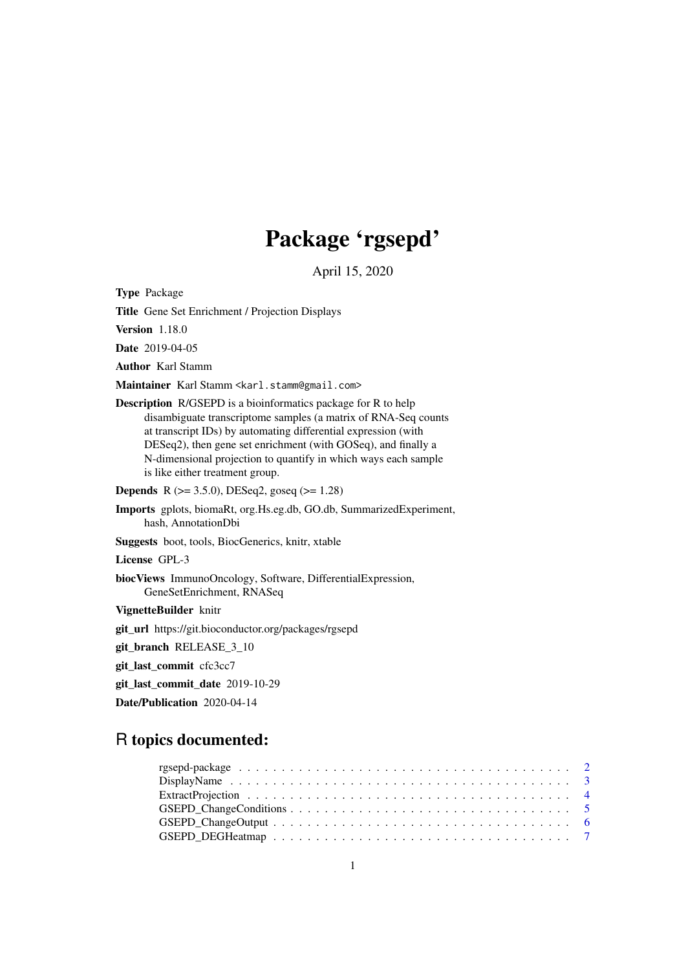# Package 'rgsepd'

April 15, 2020

Type Package

Title Gene Set Enrichment / Projection Displays

Version 1.18.0

Date 2019-04-05

Author Karl Stamm

Maintainer Karl Stamm <karl.stamm@gmail.com>

Description R/GSEPD is a bioinformatics package for R to help disambiguate transcriptome samples (a matrix of RNA-Seq counts at transcript IDs) by automating differential expression (with DESeq2), then gene set enrichment (with GOSeq), and finally a N-dimensional projection to quantify in which ways each sample is like either treatment group.

**Depends** R ( $>= 3.5.0$ ), DESeq2, goseq ( $>= 1.28$ )

Imports gplots, biomaRt, org.Hs.eg.db, GO.db, SummarizedExperiment, hash, AnnotationDbi

Suggests boot, tools, BiocGenerics, knitr, xtable

License GPL-3

biocViews ImmunoOncology, Software, DifferentialExpression, GeneSetEnrichment, RNASeq

VignetteBuilder knitr

git\_url https://git.bioconductor.org/packages/rgsepd

git\_branch RELEASE\_3\_10

git\_last\_commit cfc3cc7

git\_last\_commit\_date 2019-10-29

Date/Publication 2020-04-14

# R topics documented: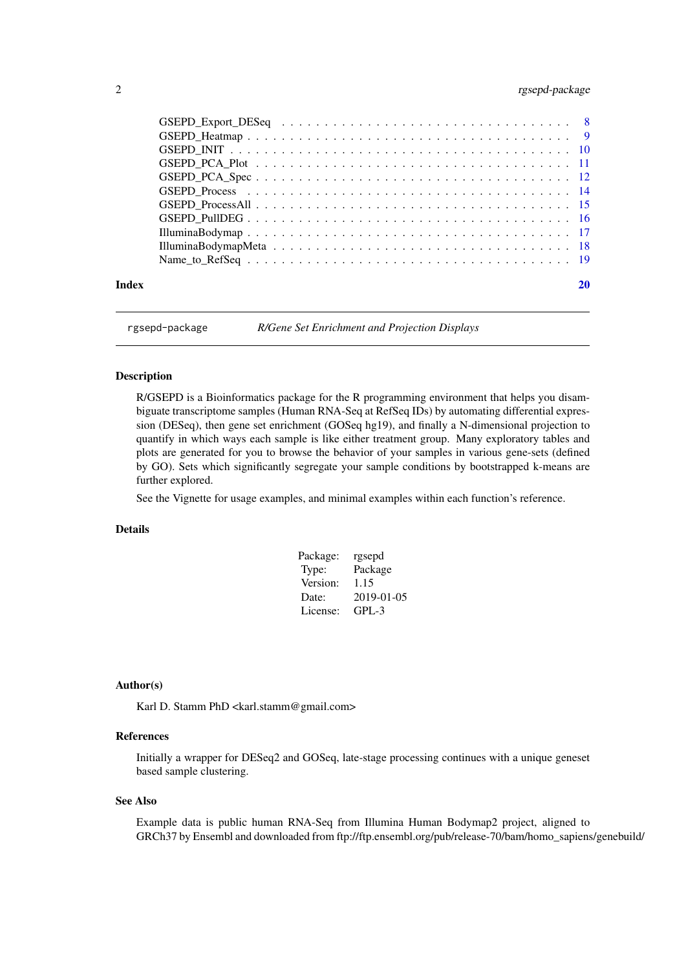# <span id="page-1-0"></span>2 rgsepd-package and  $\frac{1}{2}$  rgsepd-package

| Index |  |
|-------|--|

rgsepd-package *R/Gene Set Enrichment and Projection Displays*

# Description

R/GSEPD is a Bioinformatics package for the R programming environment that helps you disambiguate transcriptome samples (Human RNA-Seq at RefSeq IDs) by automating differential expression (DESeq), then gene set enrichment (GOSeq hg19), and finally a N-dimensional projection to quantify in which ways each sample is like either treatment group. Many exploratory tables and plots are generated for you to browse the behavior of your samples in various gene-sets (defined by GO). Sets which significantly segregate your sample conditions by bootstrapped k-means are further explored.

See the Vignette for usage examples, and minimal examples within each function's reference.

### Details

| Package: | rgsepd     |
|----------|------------|
| Type:    | Package    |
| Version: | 1.15       |
| Date:    | 2019-01-05 |
| License: | $GPL-3$    |

#### Author(s)

Karl D. Stamm PhD <karl.stamm@gmail.com>

#### References

Initially a wrapper for DESeq2 and GOSeq, late-stage processing continues with a unique geneset based sample clustering.

# See Also

Example data is public human RNA-Seq from Illumina Human Bodymap2 project, aligned to GRCh37 by Ensembl and downloaded from ftp://ftp.ensembl.org/pub/release-70/bam/homo\_sapiens/genebuild/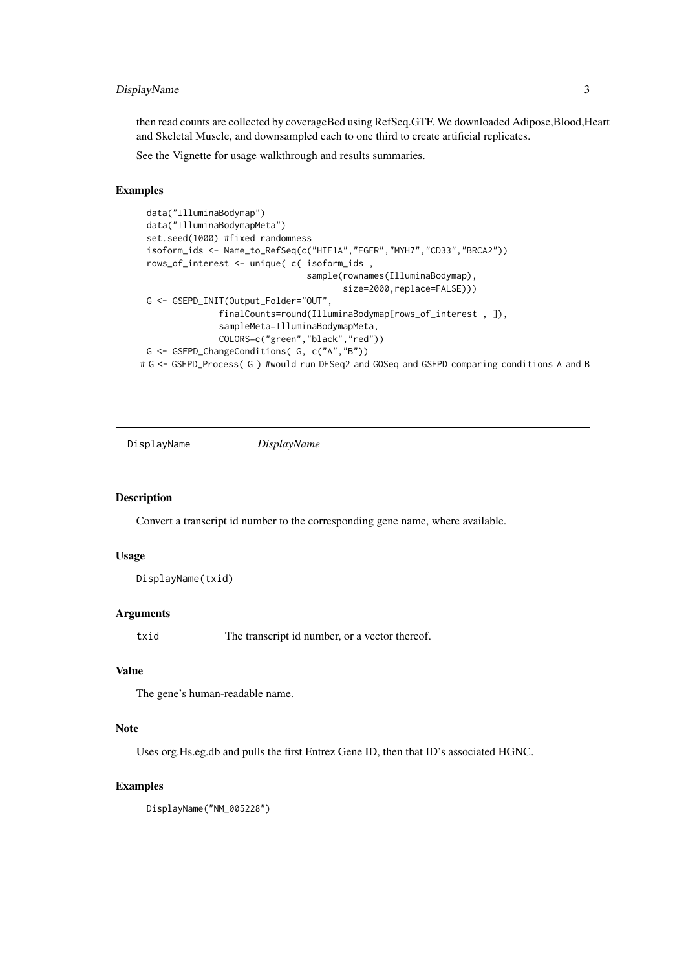#### <span id="page-2-0"></span>DisplayName 3

then read counts are collected by coverageBed using RefSeq.GTF. We downloaded Adipose,Blood,Heart and Skeletal Muscle, and downsampled each to one third to create artificial replicates.

See the Vignette for usage walkthrough and results summaries.

#### Examples

```
data("IlluminaBodymap")
 data("IlluminaBodymapMeta")
 set.seed(1000) #fixed randomness
 isoform_ids <- Name_to_RefSeq(c("HIF1A","EGFR","MYH7","CD33","BRCA2"))
 rows_of_interest <- unique( c( isoform_ids ,
                                 sample(rownames(IlluminaBodymap),
                                        size=2000,replace=FALSE)))
 G <- GSEPD_INIT(Output_Folder="OUT",
               finalCounts=round(IlluminaBodymap[rows_of_interest , ]),
               sampleMeta=IlluminaBodymapMeta,
               COLORS=c("green","black","red"))
 G <- GSEPD_ChangeConditions( G, c("A","B"))
# G <- GSEPD_Process( G ) #would run DESeq2 and GOSeq and GSEPD comparing conditions A and B
```
DisplayName *DisplayName*

#### Description

Convert a transcript id number to the corresponding gene name, where available.

#### Usage

DisplayName(txid)

# Arguments

txid The transcript id number, or a vector thereof.

# Value

The gene's human-readable name.

#### Note

Uses org.Hs.eg.db and pulls the first Entrez Gene ID, then that ID's associated HGNC.

# Examples

DisplayName("NM\_005228")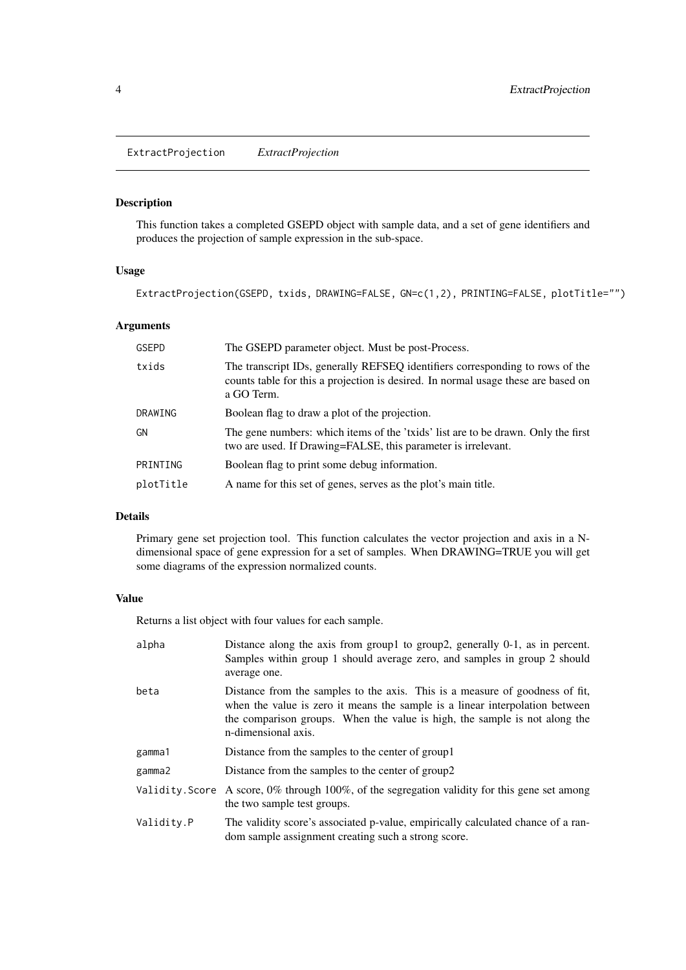<span id="page-3-0"></span>ExtractProjection *ExtractProjection*

# Description

This function takes a completed GSEPD object with sample data, and a set of gene identifiers and produces the projection of sample expression in the sub-space.

# Usage

```
ExtractProjection(GSEPD, txids, DRAWING=FALSE, GN=c(1,2), PRINTING=FALSE, plotTitle="")
```
# Arguments

| <b>GSEPD</b> | The GSEPD parameter object. Must be post-Process.                                                                                                                                |
|--------------|----------------------------------------------------------------------------------------------------------------------------------------------------------------------------------|
| txids        | The transcript IDs, generally REFSEQ identifiers corresponding to rows of the<br>counts table for this a projection is desired. In normal usage these are based on<br>a GO Term. |
| DRAWING      | Boolean flag to draw a plot of the projection.                                                                                                                                   |
| GN           | The gene numbers: which items of the 'txids' list are to be drawn. Only the first<br>two are used. If Drawing=FALSE, this parameter is irrelevant.                               |
| PRINTING     | Boolean flag to print some debug information.                                                                                                                                    |
| plotTitle    | A name for this set of genes, serves as the plot's main title.                                                                                                                   |

# Details

Primary gene set projection tool. This function calculates the vector projection and axis in a Ndimensional space of gene expression for a set of samples. When DRAWING=TRUE you will get some diagrams of the expression normalized counts.

#### Value

Returns a list object with four values for each sample.

| alpha      | Distance along the axis from group1 to group2, generally 0-1, as in percent.<br>Samples within group 1 should average zero, and samples in group 2 should<br>average one.                                                                                         |
|------------|-------------------------------------------------------------------------------------------------------------------------------------------------------------------------------------------------------------------------------------------------------------------|
| beta       | Distance from the samples to the axis. This is a measure of goodness of fit,<br>when the value is zero it means the sample is a linear interpolation between<br>the comparison groups. When the value is high, the sample is not along the<br>n-dimensional axis. |
| gamma1     | Distance from the samples to the center of group 1                                                                                                                                                                                                                |
| gamma2     | Distance from the samples to the center of group2                                                                                                                                                                                                                 |
|            | Validity. Score A score, $0\%$ through 100%, of the segregation validity for this gene set among<br>the two sample test groups.                                                                                                                                   |
| Validity.P | The validity score's associated p-value, empirically calculated chance of a ran-<br>dom sample assignment creating such a strong score.                                                                                                                           |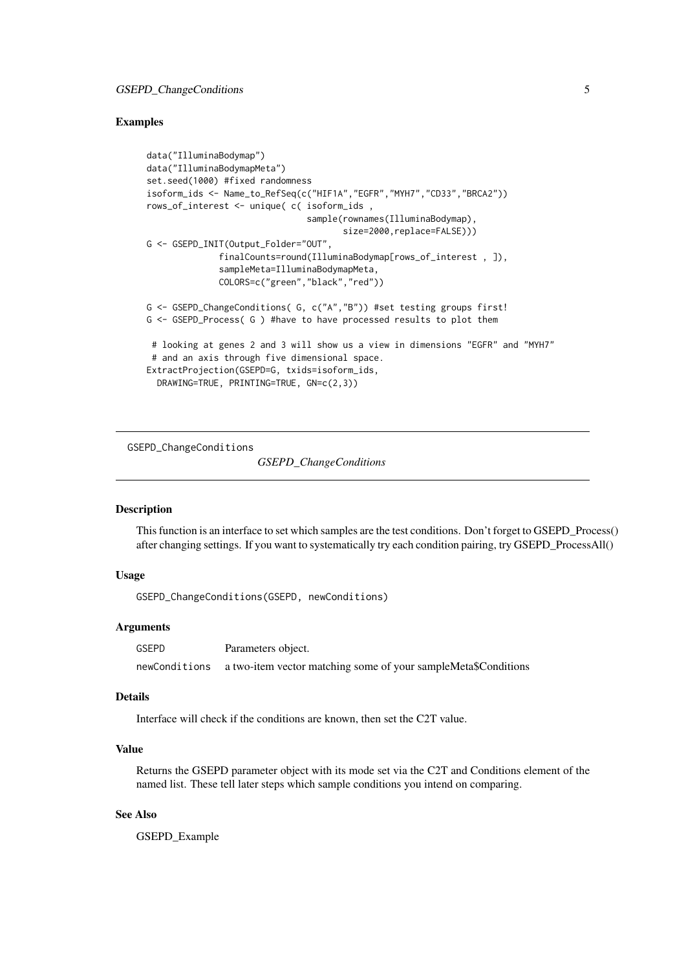#### <span id="page-4-0"></span>Examples

```
data("IlluminaBodymap")
data("IlluminaBodymapMeta")
set.seed(1000) #fixed randomness
isoform_ids <- Name_to_RefSeq(c("HIF1A","EGFR","MYH7","CD33","BRCA2"))
rows_of_interest <- unique( c( isoform_ids ,
                               sample(rownames(IlluminaBodymap),
                                      size=2000,replace=FALSE)))
G <- GSEPD_INIT(Output_Folder="OUT",
              finalCounts=round(IlluminaBodymap[rows_of_interest , ]),
              sampleMeta=IlluminaBodymapMeta,
              COLORS=c("green","black","red"))
G <- GSEPD_ChangeConditions( G, c("A","B")) #set testing groups first!
G <- GSEPD_Process( G ) #have to have processed results to plot them
 # looking at genes 2 and 3 will show us a view in dimensions "EGFR" and "MYH7"
 # and an axis through five dimensional space.
ExtractProjection(GSEPD=G, txids=isoform_ids,
 DRAWING=TRUE, PRINTING=TRUE, GN=c(2,3))
```
GSEPD\_ChangeConditions

*GSEPD\_ChangeConditions*

### Description

This function is an interface to set which samples are the test conditions. Don't forget to GSEPD\_Process() after changing settings. If you want to systematically try each condition pairing, try GSEPD\_ProcessAll()

#### Usage

GSEPD\_ChangeConditions(GSEPD, newConditions)

#### Arguments

GSEPD Parameters object. newConditions a two-item vector matching some of your sampleMeta\$Conditions

#### Details

Interface will check if the conditions are known, then set the C2T value.

# Value

Returns the GSEPD parameter object with its mode set via the C2T and Conditions element of the named list. These tell later steps which sample conditions you intend on comparing.

# See Also

GSEPD\_Example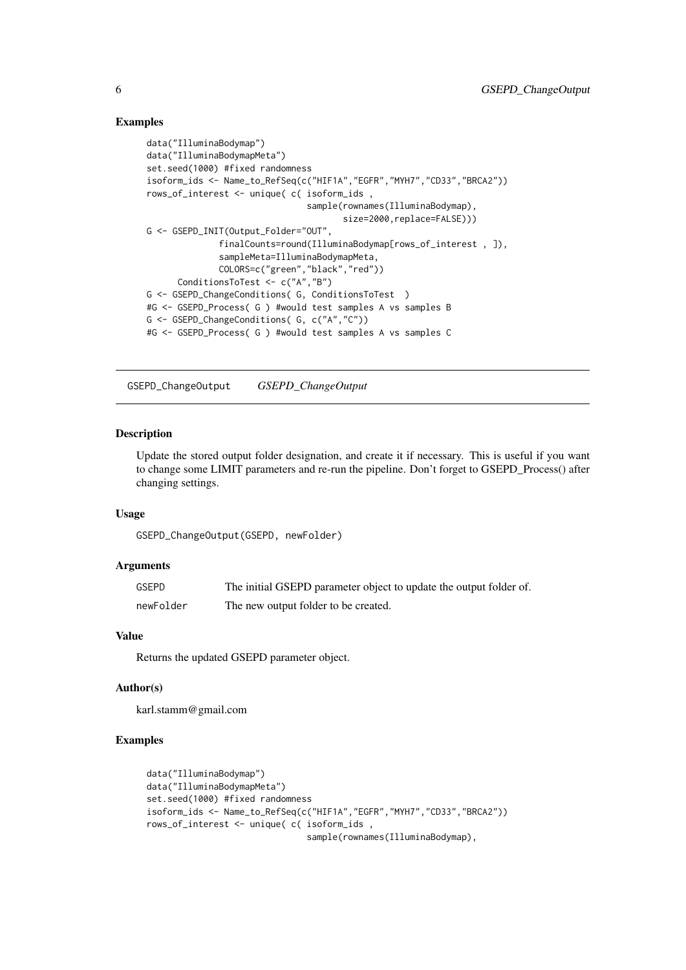### <span id="page-5-0"></span>Examples

```
data("IlluminaBodymap")
data("IlluminaBodymapMeta")
set.seed(1000) #fixed randomness
isoform_ids <- Name_to_RefSeq(c("HIF1A","EGFR","MYH7","CD33","BRCA2"))
rows_of_interest <- unique( c( isoform_ids ,
                               sample(rownames(IlluminaBodymap),
                                      size=2000,replace=FALSE)))
G <- GSEPD_INIT(Output_Folder="OUT",
              finalCounts=round(IlluminaBodymap[rows_of_interest , ]),
              sampleMeta=IlluminaBodymapMeta,
              COLORS=c("green","black","red"))
      ConditionsToTest <- c("A","B")
G <- GSEPD_ChangeConditions( G, ConditionsToTest )
#G <- GSEPD_Process( G ) #would test samples A vs samples B
G <- GSEPD_ChangeConditions( G, c("A","C"))
#G <- GSEPD_Process( G ) #would test samples A vs samples C
```
GSEPD\_ChangeOutput *GSEPD\_ChangeOutput*

# Description

Update the stored output folder designation, and create it if necessary. This is useful if you want to change some LIMIT parameters and re-run the pipeline. Don't forget to GSEPD\_Process() after changing settings.

### Usage

GSEPD\_ChangeOutput(GSEPD, newFolder)

#### Arguments

| <b>GSEPD</b> | The initial GSEPD parameter object to update the output folder of. |
|--------------|--------------------------------------------------------------------|
| newFolder    | The new output folder to be created.                               |

#### Value

Returns the updated GSEPD parameter object.

#### Author(s)

karl.stamm@gmail.com

```
data("IlluminaBodymap")
data("IlluminaBodymapMeta")
set.seed(1000) #fixed randomness
isoform_ids <- Name_to_RefSeq(c("HIF1A","EGFR","MYH7","CD33","BRCA2"))
rows_of_interest <- unique( c( isoform_ids ,
                               sample(rownames(IlluminaBodymap),
```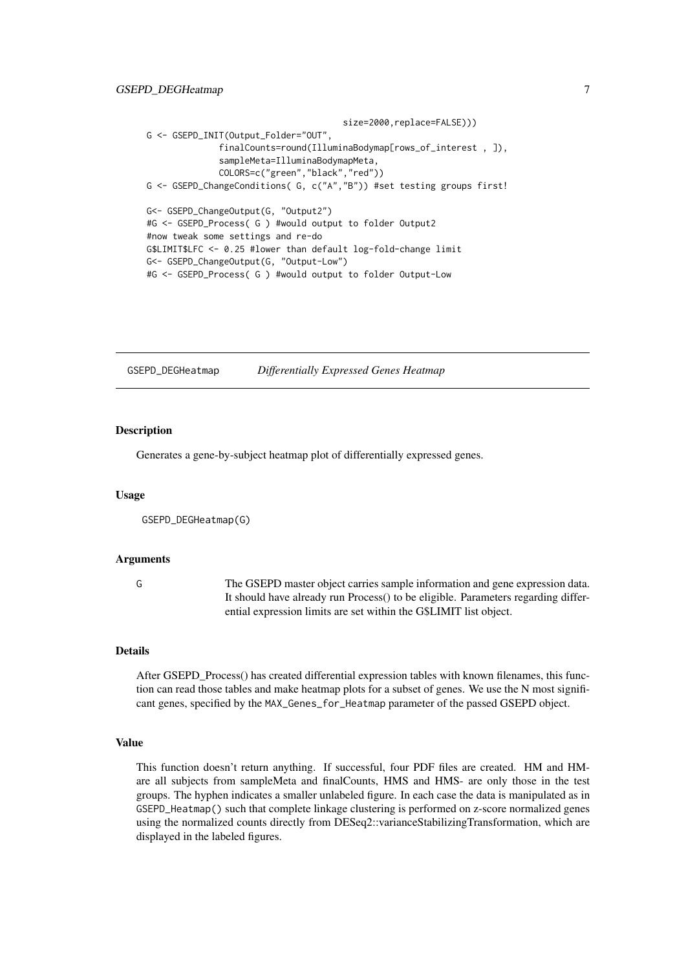```
size=2000,replace=FALSE)))
G <- GSEPD_INIT(Output_Folder="OUT",
              finalCounts=round(IlluminaBodymap[rows_of_interest , ]),
              sampleMeta=IlluminaBodymapMeta,
              COLORS=c("green","black","red"))
G <- GSEPD_ChangeConditions( G, c("A","B")) #set testing groups first!
G<- GSEPD_ChangeOutput(G, "Output2")
#G <- GSEPD_Process( G ) #would output to folder Output2
#now tweak some settings and re-do
G$LIMIT$LFC <- 0.25 #lower than default log-fold-change limit
G<- GSEPD_ChangeOutput(G, "Output-Low")
#G <- GSEPD_Process( G ) #would output to folder Output-Low
```
GSEPD\_DEGHeatmap *Differentially Expressed Genes Heatmap*

#### Description

Generates a gene-by-subject heatmap plot of differentially expressed genes.

#### Usage

```
GSEPD_DEGHeatmap(G)
```
#### Arguments

G The GSEPD master object carries sample information and gene expression data. It should have already run Process() to be eligible. Parameters regarding differential expression limits are set within the G\$LIMIT list object.

# Details

After GSEPD\_Process() has created differential expression tables with known filenames, this function can read those tables and make heatmap plots for a subset of genes. We use the N most significant genes, specified by the MAX\_Genes\_for\_Heatmap parameter of the passed GSEPD object.

#### Value

This function doesn't return anything. If successful, four PDF files are created. HM and HMare all subjects from sampleMeta and finalCounts, HMS and HMS- are only those in the test groups. The hyphen indicates a smaller unlabeled figure. In each case the data is manipulated as in GSEPD\_Heatmap() such that complete linkage clustering is performed on z-score normalized genes using the normalized counts directly from DESeq2::varianceStabilizingTransformation, which are displayed in the labeled figures.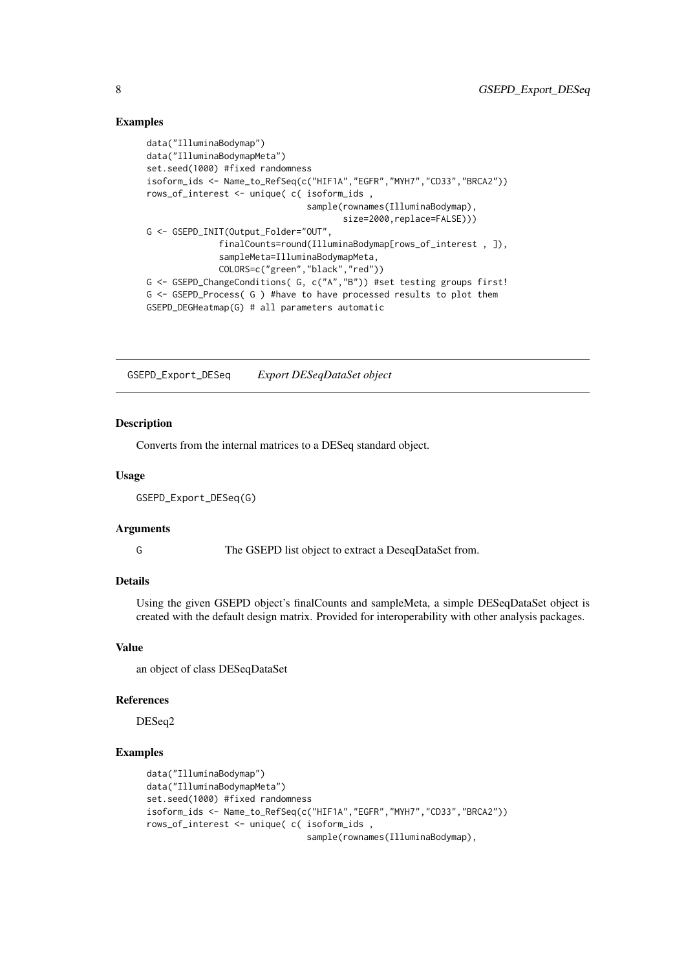#### <span id="page-7-0"></span>Examples

```
data("IlluminaBodymap")
data("IlluminaBodymapMeta")
set.seed(1000) #fixed randomness
isoform_ids <- Name_to_RefSeq(c("HIF1A","EGFR","MYH7","CD33","BRCA2"))
rows_of_interest <- unique( c( isoform_ids ,
                               sample(rownames(IlluminaBodymap),
                                      size=2000,replace=FALSE)))
G <- GSEPD_INIT(Output_Folder="OUT",
              finalCounts=round(IlluminaBodymap[rows_of_interest , ]),
              sampleMeta=IlluminaBodymapMeta,
              COLORS=c("green","black","red"))
G <- GSEPD_ChangeConditions( G, c("A","B")) #set testing groups first!
G <- GSEPD_Process( G ) #have to have processed results to plot them
GSEPD_DEGHeatmap(G) # all parameters automatic
```
GSEPD\_Export\_DESeq *Export DESeqDataSet object*

### Description

Converts from the internal matrices to a DESeq standard object.

# Usage

```
GSEPD_Export_DESeq(G)
```
#### Arguments

G The GSEPD list object to extract a DeseqDataSet from.

# Details

Using the given GSEPD object's finalCounts and sampleMeta, a simple DESeqDataSet object is created with the default design matrix. Provided for interoperability with other analysis packages.

# Value

an object of class DESeqDataSet

### References

DESeq2

```
data("IlluminaBodymap")
data("IlluminaBodymapMeta")
set.seed(1000) #fixed randomness
isoform_ids <- Name_to_RefSeq(c("HIF1A","EGFR","MYH7","CD33","BRCA2"))
rows_of_interest <- unique( c( isoform_ids ,
                               sample(rownames(IlluminaBodymap),
```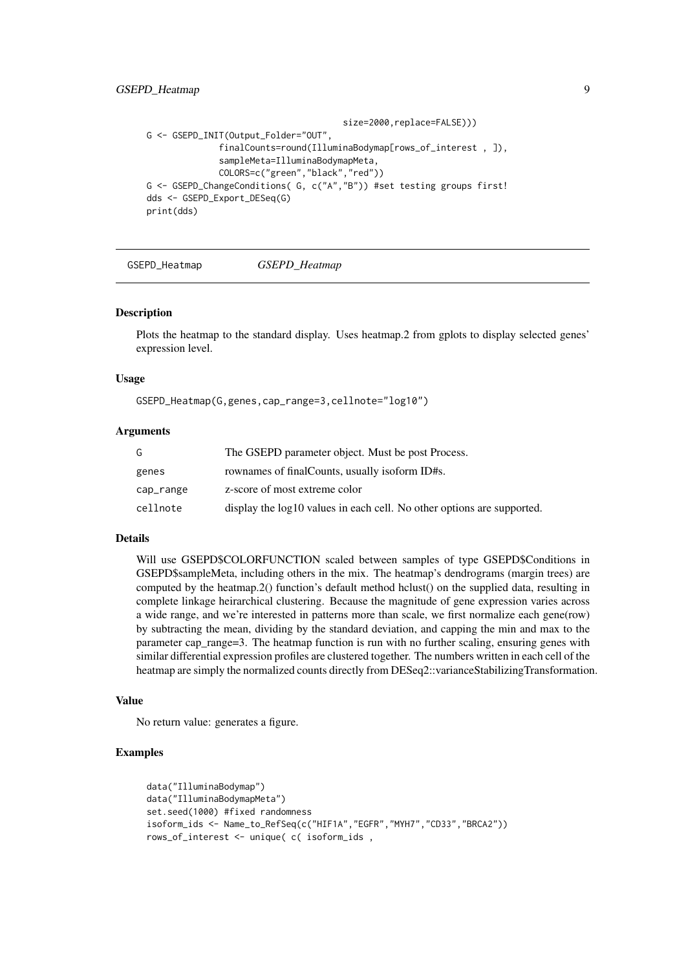#### <span id="page-8-0"></span>GSEPD\_Heatmap 9

```
size=2000,replace=FALSE)))
G <- GSEPD_INIT(Output_Folder="OUT",
              finalCounts=round(IlluminaBodymap[rows_of_interest , ]),
              sampleMeta=IlluminaBodymapMeta,
              COLORS=c("green","black","red"))
G <- GSEPD_ChangeConditions( G, c("A","B")) #set testing groups first!
dds <- GSEPD_Export_DESeq(G)
print(dds)
```
GSEPD\_Heatmap *GSEPD\_Heatmap*

#### **Description**

Plots the heatmap to the standard display. Uses heatmap.2 from gplots to display selected genes' expression level.

#### Usage

GSEPD\_Heatmap(G,genes,cap\_range=3,cellnote="log10")

#### Arguments

| G         | The GSEPD parameter object. Must be post Process.                      |
|-----------|------------------------------------------------------------------------|
| genes     | rownames of final Counts, usually isoform ID#s.                        |
| cap_range | z-score of most extreme color                                          |
| cellnote  | display the log10 values in each cell. No other options are supported. |

### Details

Will use GSEPD\$COLORFUNCTION scaled between samples of type GSEPD\$Conditions in GSEPD\$sampleMeta, including others in the mix. The heatmap's dendrograms (margin trees) are computed by the heatmap.2() function's default method hclust() on the supplied data, resulting in complete linkage heirarchical clustering. Because the magnitude of gene expression varies across a wide range, and we're interested in patterns more than scale, we first normalize each gene(row) by subtracting the mean, dividing by the standard deviation, and capping the min and max to the parameter cap\_range=3. The heatmap function is run with no further scaling, ensuring genes with similar differential expression profiles are clustered together. The numbers written in each cell of the heatmap are simply the normalized counts directly from DESeq2::varianceStabilizingTransformation.

#### Value

No return value: generates a figure.

```
data("IlluminaBodymap")
data("IlluminaBodymapMeta")
set.seed(1000) #fixed randomness
isoform_ids <- Name_to_RefSeq(c("HIF1A","EGFR","MYH7","CD33","BRCA2"))
rows_of_interest <- unique( c( isoform_ids ,
```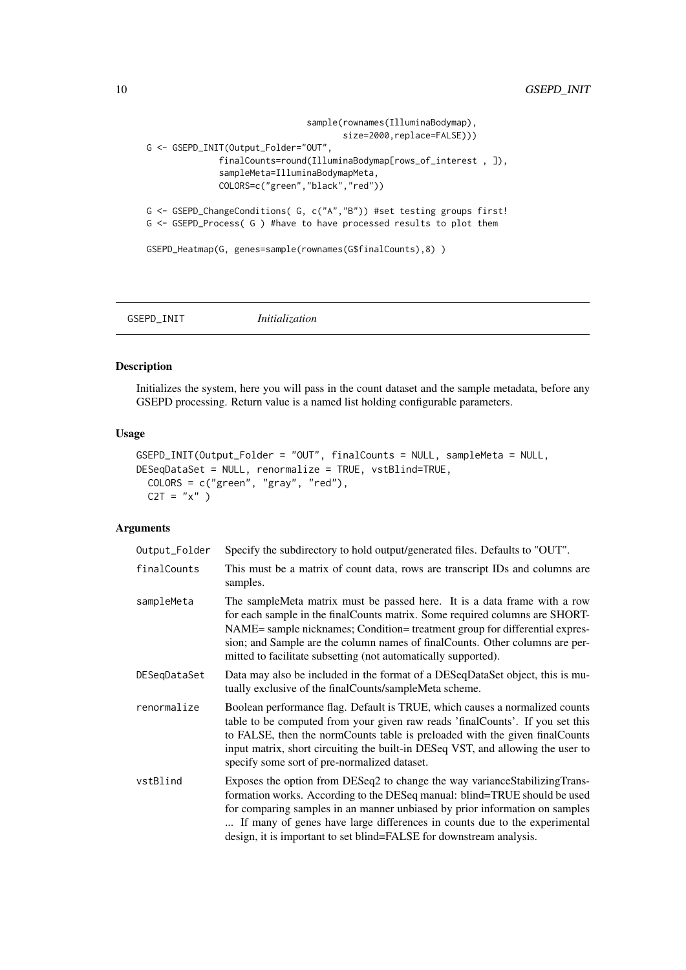```
sample(rownames(IlluminaBodymap),
                                      size=2000, replace=FALSE)))
G <- GSEPD_INIT(Output_Folder="OUT",
              finalCounts=round(IlluminaBodymap[rows_of_interest , ]),
              sampleMeta=IlluminaBodymapMeta,
              COLORS=c("green","black","red"))
G <- GSEPD_ChangeConditions( G, c("A","B")) #set testing groups first!
G <- GSEPD_Process( G ) #have to have processed results to plot them
GSEPD_Heatmap(G, genes=sample(rownames(G$finalCounts),8) )
```
GSEPD\_INIT *Initialization*

# Description

Initializes the system, here you will pass in the count dataset and the sample metadata, before any GSEPD processing. Return value is a named list holding configurable parameters.

# Usage

```
GSEPD_INIT(Output_Folder = "OUT", finalCounts = NULL, sampleMeta = NULL,
DESeqDataSet = NULL, renormalize = TRUE, vstBlind=TRUE,
 COLORS = c("green", "gray", "red"),
 C2T = "x"
```
# Arguments

| Output_Folder | Specify the subdirectory to hold output/generated files. Defaults to "OUT".                                                                                                                                                                                                                                                                                                                  |  |
|---------------|----------------------------------------------------------------------------------------------------------------------------------------------------------------------------------------------------------------------------------------------------------------------------------------------------------------------------------------------------------------------------------------------|--|
| finalCounts   | This must be a matrix of count data, rows are transcript IDs and columns are<br>samples.                                                                                                                                                                                                                                                                                                     |  |
| sampleMeta    | The sampleMeta matrix must be passed here. It is a data frame with a row<br>for each sample in the final Counts matrix. Some required columns are SHORT-<br>NAME= sample nicknames; Condition= treatment group for differential expres-<br>sion; and Sample are the column names of final Counts. Other columns are per-<br>mitted to facilitate subsetting (not automatically supported).   |  |
| DESeqDataSet  | Data may also be included in the format of a DESeqDataSet object, this is mu-<br>tually exclusive of the finalCounts/sampleMeta scheme.                                                                                                                                                                                                                                                      |  |
| renormalize   | Boolean performance flag. Default is TRUE, which causes a normalized counts<br>table to be computed from your given raw reads 'final Counts'. If you set this<br>to FALSE, then the normCounts table is preloaded with the given finalCounts<br>input matrix, short circuiting the built-in DESeq VST, and allowing the user to<br>specify some sort of pre-normalized dataset.              |  |
| vstBlind      | Exposes the option from DESeq2 to change the way variance Stabilizing Trans-<br>formation works. According to the DESeq manual: blind=TRUE should be used<br>for comparing samples in an manner unbiased by prior information on samples<br>If many of genes have large differences in counts due to the experimental<br>design, it is important to set blind=FALSE for downstream analysis. |  |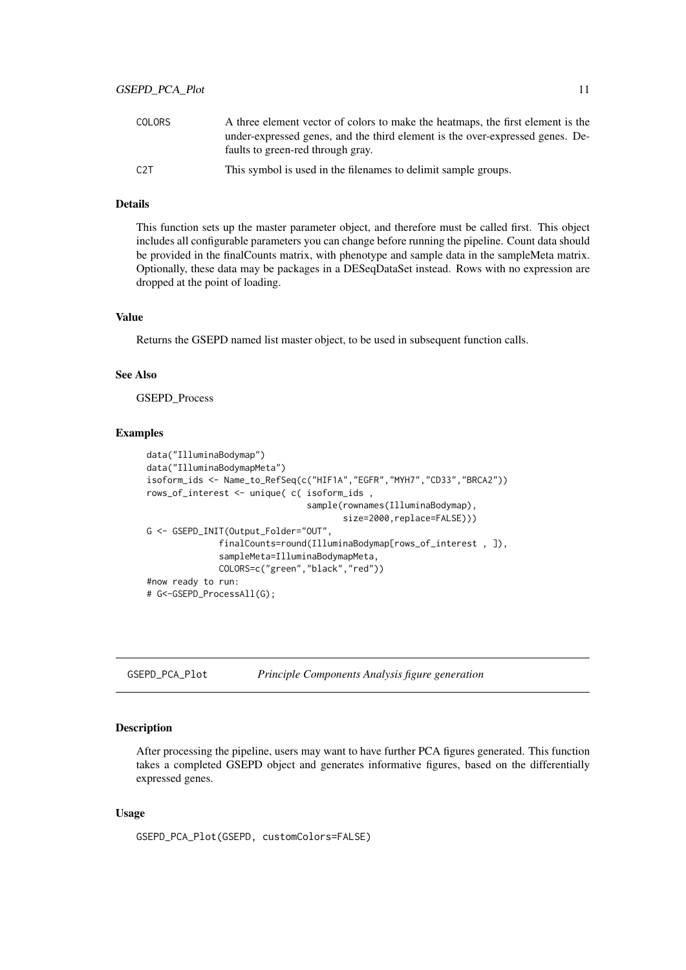<span id="page-10-0"></span>

| COLORS | A three element vector of colors to make the heatmaps, the first element is the                                    |
|--------|--------------------------------------------------------------------------------------------------------------------|
|        | under-expressed genes, and the third element is the over-expressed genes. De-<br>faults to green-red through gray. |
| C2T    | This symbol is used in the filenames to delimit sample groups.                                                     |

# Details

This function sets up the master parameter object, and therefore must be called first. This object includes all configurable parameters you can change before running the pipeline. Count data should be provided in the finalCounts matrix, with phenotype and sample data in the sampleMeta matrix. Optionally, these data may be packages in a DESeqDataSet instead. Rows with no expression are dropped at the point of loading.

# Value

Returns the GSEPD named list master object, to be used in subsequent function calls.

#### See Also

GSEPD\_Process

#### Examples

```
data("IlluminaBodymap")
data("IlluminaBodymapMeta")
isoform_ids <- Name_to_RefSeq(c("HIF1A","EGFR","MYH7","CD33","BRCA2"))
rows_of_interest <- unique( c( isoform_ids ,
                               sample(rownames(IlluminaBodymap),
                                      size=2000, replace=FALSE)))
G <- GSEPD INIT(Output Folder="OUT",
              finalCounts=round(IlluminaBodymap[rows_of_interest , ]),
              sampleMeta=IlluminaBodymapMeta,
              COLORS=c("green","black","red"))
#now ready to run:
# G<-GSEPD_ProcessAll(G);
```
GSEPD\_PCA\_Plot *Principle Components Analysis figure generation*

#### Description

After processing the pipeline, users may want to have further PCA figures generated. This function takes a completed GSEPD object and generates informative figures, based on the differentially expressed genes.

# Usage

```
GSEPD_PCA_Plot(GSEPD, customColors=FALSE)
```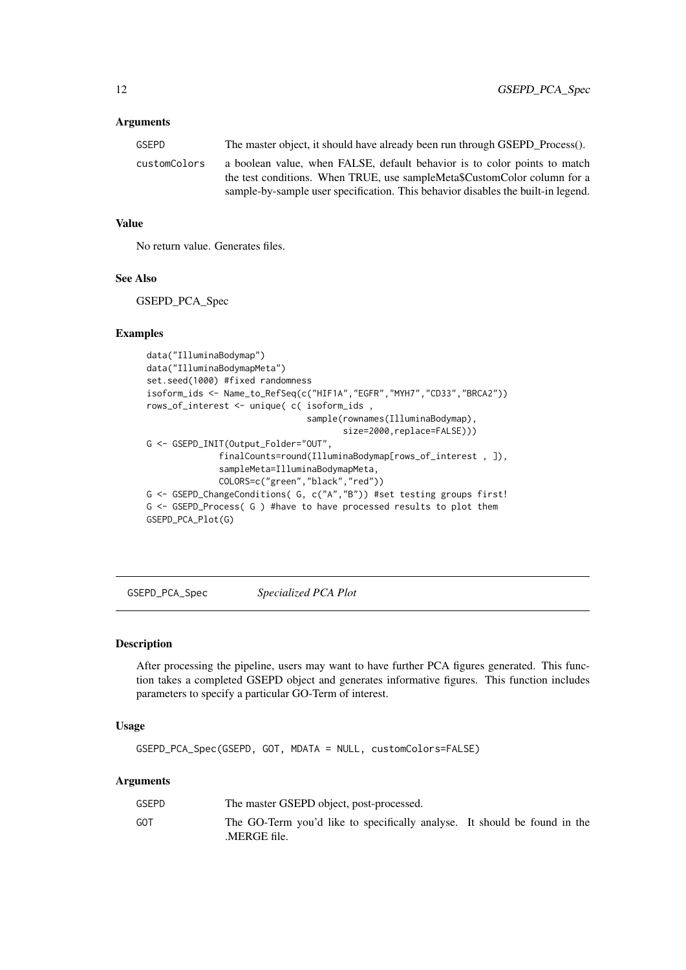# <span id="page-11-0"></span>Arguments

| GSEPD        | The master object, it should have already been run through GSEPD_Process().                                                                                                                                                               |
|--------------|-------------------------------------------------------------------------------------------------------------------------------------------------------------------------------------------------------------------------------------------|
| customColors | a boolean value, when FALSE, default behavior is to color points to match<br>the test conditions. When TRUE, use sampleMeta\$CustomColor column for a<br>sample-by-sample user specification. This behavior disables the built-in legend. |
|              |                                                                                                                                                                                                                                           |

# Value

No return value. Generates files.

#### See Also

GSEPD\_PCA\_Spec

#### Examples

```
data("IlluminaBodymap")
data("IlluminaBodymapMeta")
set.seed(1000) #fixed randomness
isoform_ids <- Name_to_RefSeq(c("HIF1A","EGFR","MYH7","CD33","BRCA2"))
rows_of_interest <- unique( c( isoform_ids ,
                               sample(rownames(IlluminaBodymap),
                                      size=2000,replace=FALSE)))
G <- GSEPD_INIT(Output_Folder="OUT",
              finalCounts=round(IlluminaBodymap[rows_of_interest , ]),
              sampleMeta=IlluminaBodymapMeta,
              COLORS=c("green","black","red"))
G <- GSEPD_ChangeConditions( G, c("A","B")) #set testing groups first!
G <- GSEPD_Process( G ) #have to have processed results to plot them
GSEPD_PCA_Plot(G)
```
GSEPD\_PCA\_Spec *Specialized PCA Plot*

#### Description

After processing the pipeline, users may want to have further PCA figures generated. This function takes a completed GSEPD object and generates informative figures. This function includes parameters to specify a particular GO-Term of interest.

# Usage

GSEPD\_PCA\_Spec(GSEPD, GOT, MDATA = NULL, customColors=FALSE)

#### Arguments

| GSEPD | The master GSEPD object, post-processed.                                                 |  |
|-------|------------------------------------------------------------------------------------------|--|
| GOT   | The GO-Term you'd like to specifically analyse. It should be found in the<br>MERGE file. |  |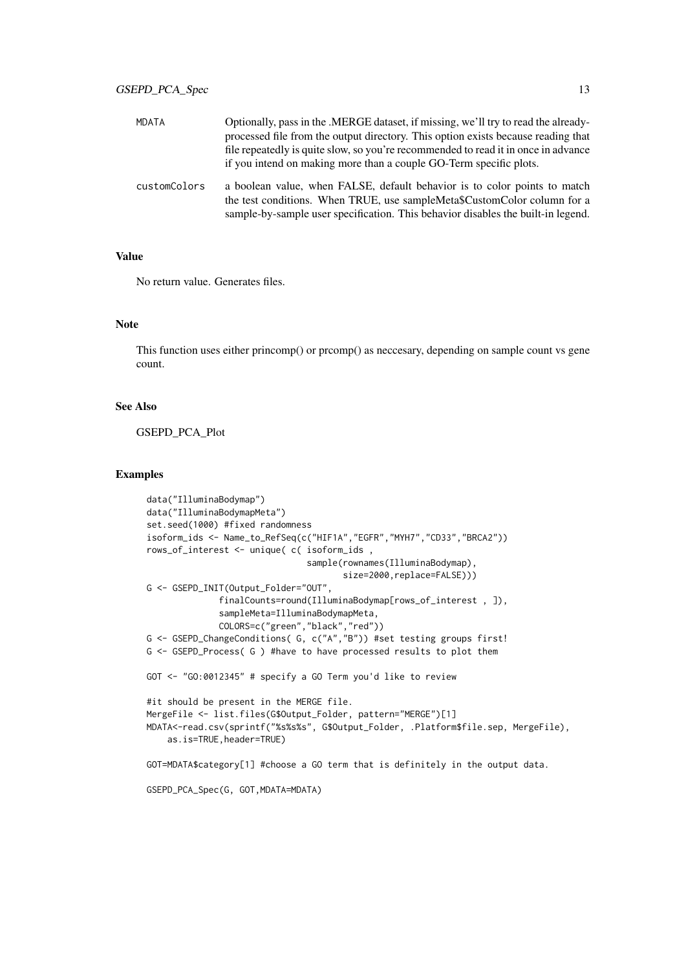| <b>MDATA</b> | Optionally, pass in the .MERGE dataset, if missing, we'll try to read the already-<br>processed file from the output directory. This option exists because reading that<br>file repeatedly is quite slow, so you're recommended to read it in once in advance<br>if you intend on making more than a couple GO-Term specific plots. |
|--------------|-------------------------------------------------------------------------------------------------------------------------------------------------------------------------------------------------------------------------------------------------------------------------------------------------------------------------------------|
| customColors | a boolean value, when FALSE, default behavior is to color points to match<br>the test conditions. When TRUE, use sampleMeta\$CustomColor column for a<br>sample-by-sample user specification. This behavior disables the built-in legend.                                                                                           |

# Value

No return value. Generates files.

# Note

This function uses either princomp() or prcomp() as neccesary, depending on sample count vs gene count.

#### See Also

GSEPD\_PCA\_Plot

```
data("IlluminaBodymap")
data("IlluminaBodymapMeta")
set.seed(1000) #fixed randomness
isoform_ids <- Name_to_RefSeq(c("HIF1A","EGFR","MYH7","CD33","BRCA2"))
rows_of_interest <- unique( c( isoform_ids ,
                               sample(rownames(IlluminaBodymap),
                                      size=2000,replace=FALSE)))
G <- GSEPD_INIT(Output_Folder="OUT",
              finalCounts=round(IlluminaBodymap[rows_of_interest , ]),
              sampleMeta=IlluminaBodymapMeta,
              COLORS=c("green","black","red"))
G <- GSEPD_ChangeConditions( G, c("A","B")) #set testing groups first!
G <- GSEPD_Process( G ) #have to have processed results to plot them
GOT <- "GO:0012345" # specify a GO Term you'd like to review
#it should be present in the MERGE file.
MergeFile <- list.files(G$Output_Folder, pattern="MERGE")[1]
MDATA<-read.csv(sprintf("%s%s%s", G$Output_Folder, .Platform$file.sep, MergeFile),
    as.is=TRUE,header=TRUE)
GOT=MDATA$category[1] #choose a GO term that is definitely in the output data.
GSEPD_PCA_Spec(G, GOT,MDATA=MDATA)
```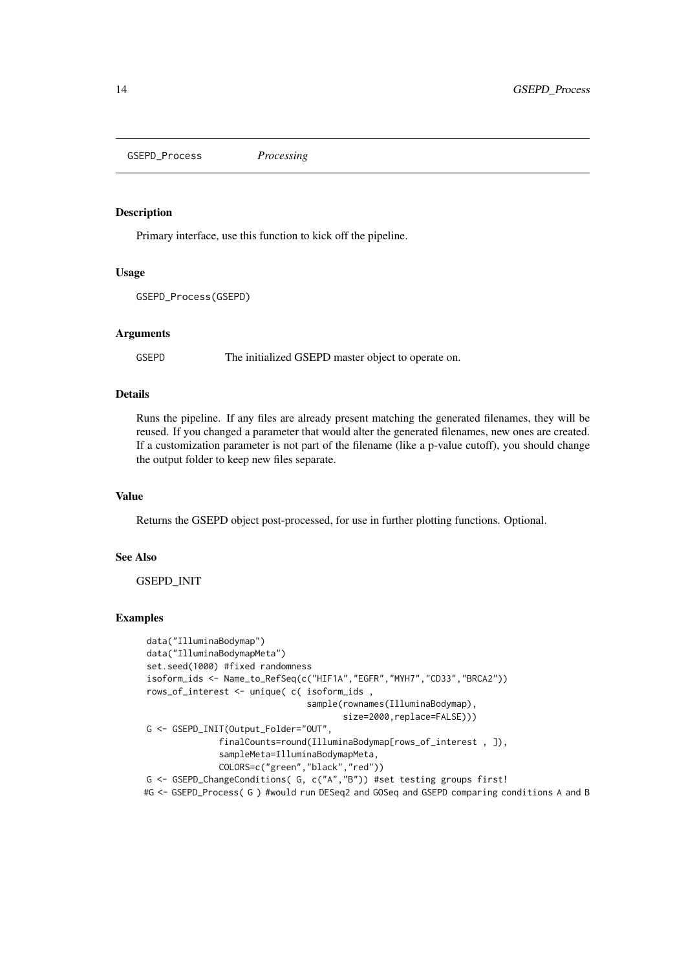<span id="page-13-0"></span>GSEPD\_Process *Processing*

#### Description

Primary interface, use this function to kick off the pipeline.

# Usage

```
GSEPD_Process(GSEPD)
```
# Arguments

GSEPD The initialized GSEPD master object to operate on.

#### Details

Runs the pipeline. If any files are already present matching the generated filenames, they will be reused. If you changed a parameter that would alter the generated filenames, new ones are created. If a customization parameter is not part of the filename (like a p-value cutoff), you should change the output folder to keep new files separate.

# Value

Returns the GSEPD object post-processed, for use in further plotting functions. Optional.

# See Also

GSEPD\_INIT

```
data("IlluminaBodymap")
data("IlluminaBodymapMeta")
set.seed(1000) #fixed randomness
isoform_ids <- Name_to_RefSeq(c("HIF1A","EGFR","MYH7","CD33","BRCA2"))
rows_of_interest <- unique( c( isoform_ids ,
                                sample(rownames(IlluminaBodymap),
                                       size=2000, replace=FALSE)))
G <- GSEPD_INIT(Output_Folder="OUT",
              finalCounts=round(IlluminaBodymap[rows_of_interest , ]),
              sampleMeta=IlluminaBodymapMeta,
              COLORS=c("green","black","red"))
G <- GSEPD_ChangeConditions( G, c("A","B")) #set testing groups first!
#G <- GSEPD_Process( G ) #would run DESeq2 and GOSeq and GSEPD comparing conditions A and B
```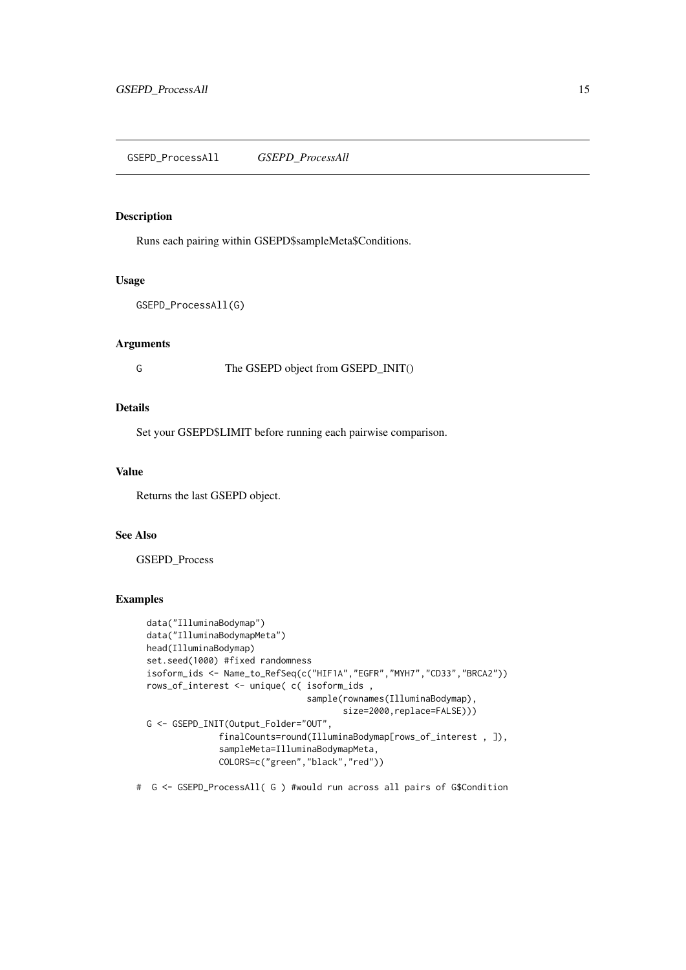<span id="page-14-0"></span>GSEPD\_ProcessAll *GSEPD\_ProcessAll*

#### Description

Runs each pairing within GSEPD\$sampleMeta\$Conditions.

#### Usage

```
GSEPD_ProcessAll(G)
```
# Arguments

G The GSEPD object from GSEPD\_INIT()

#### Details

Set your GSEPD\$LIMIT before running each pairwise comparison.

#### Value

Returns the last GSEPD object.

# See Also

GSEPD\_Process

# Examples

```
data("IlluminaBodymap")
data("IlluminaBodymapMeta")
head(IlluminaBodymap)
set.seed(1000) #fixed randomness
isoform_ids <- Name_to_RefSeq(c("HIF1A","EGFR","MYH7","CD33","BRCA2"))
rows_of_interest <- unique( c( isoform_ids ,
                               sample(rownames(IlluminaBodymap),
                                      size=2000, replace=FALSE)))
G <- GSEPD_INIT(Output_Folder="OUT",
              finalCounts=round(IlluminaBodymap[rows_of_interest , ]),
              sampleMeta=IlluminaBodymapMeta,
              COLORS=c("green","black","red"))
```
# G <- GSEPD\_ProcessAll( G ) #would run across all pairs of G\$Condition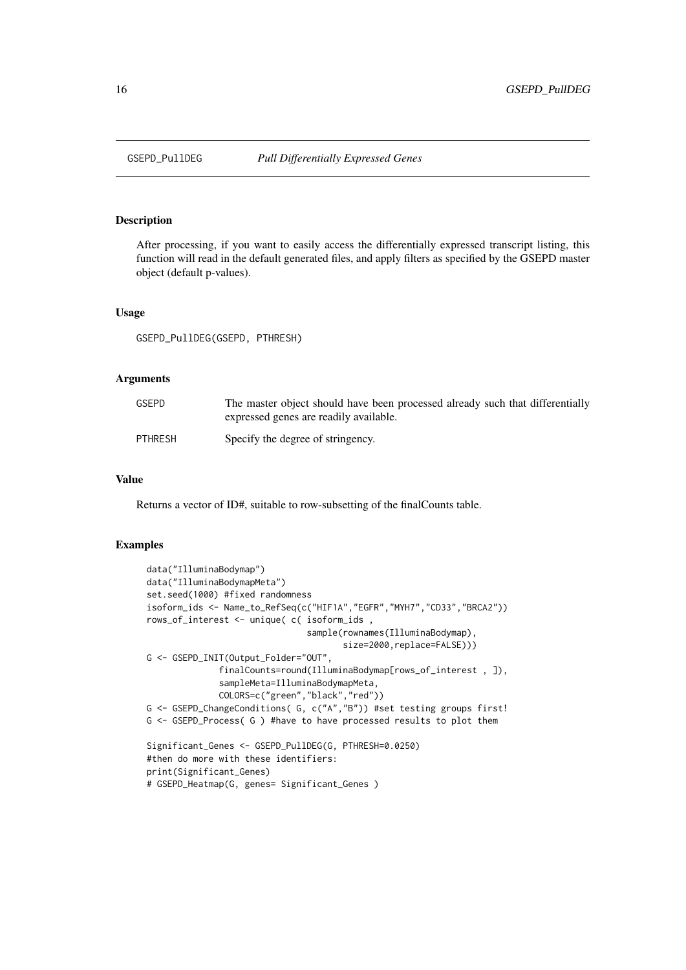<span id="page-15-0"></span>

# Description

After processing, if you want to easily access the differentially expressed transcript listing, this function will read in the default generated files, and apply filters as specified by the GSEPD master object (default p-values).

#### Usage

GSEPD\_PullDEG(GSEPD, PTHRESH)

# Arguments

| GSEPD          | The master object should have been processed already such that differentially<br>expressed genes are readily available. |
|----------------|-------------------------------------------------------------------------------------------------------------------------|
| <b>PTHRESH</b> | Specify the degree of stringency.                                                                                       |

# Value

Returns a vector of ID#, suitable to row-subsetting of the finalCounts table.

```
data("IlluminaBodymap")
data("IlluminaBodymapMeta")
set.seed(1000) #fixed randomness
isoform_ids <- Name_to_RefSeq(c("HIF1A","EGFR","MYH7","CD33","BRCA2"))
rows_of_interest <- unique( c( isoform_ids ,
                               sample(rownames(IlluminaBodymap),
                                      size=2000,replace=FALSE)))
G <- GSEPD_INIT(Output_Folder="OUT",
              finalCounts=round(IlluminaBodymap[rows_of_interest , ]),
              sampleMeta=IlluminaBodymapMeta,
              COLORS=c("green","black","red"))
G <- GSEPD_ChangeConditions( G, c("A","B")) #set testing groups first!
G <- GSEPD_Process( G ) #have to have processed results to plot them
Significant_Genes <- GSEPD_PullDEG(G, PTHRESH=0.0250)
#then do more with these identifiers:
print(Significant_Genes)
# GSEPD_Heatmap(G, genes= Significant_Genes )
```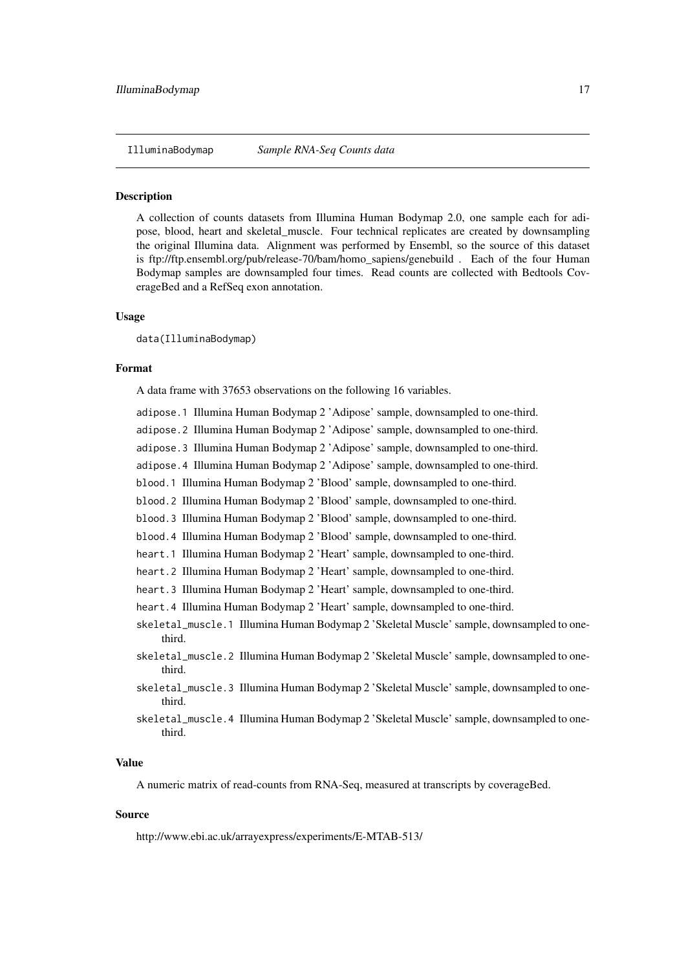#### <span id="page-16-0"></span>**Description**

A collection of counts datasets from Illumina Human Bodymap 2.0, one sample each for adipose, blood, heart and skeletal\_muscle. Four technical replicates are created by downsampling the original Illumina data. Alignment was performed by Ensembl, so the source of this dataset is ftp://ftp.ensembl.org/pub/release-70/bam/homo\_sapiens/genebuild . Each of the four Human Bodymap samples are downsampled four times. Read counts are collected with Bedtools CoverageBed and a RefSeq exon annotation.

#### Usage

data(IlluminaBodymap)

#### Format

A data frame with 37653 observations on the following 16 variables.

- adipose.1 Illumina Human Bodymap 2 'Adipose' sample, downsampled to one-third.
- adipose.2 Illumina Human Bodymap 2 'Adipose' sample, downsampled to one-third.
- adipose.3 Illumina Human Bodymap 2 'Adipose' sample, downsampled to one-third.

adipose.4 Illumina Human Bodymap 2 'Adipose' sample, downsampled to one-third.

- blood.1 Illumina Human Bodymap 2 'Blood' sample, downsampled to one-third.
- blood.2 Illumina Human Bodymap 2 'Blood' sample, downsampled to one-third.
- blood.3 Illumina Human Bodymap 2 'Blood' sample, downsampled to one-third.
- blood.4 Illumina Human Bodymap 2 'Blood' sample, downsampled to one-third.
- heart.1 Illumina Human Bodymap 2 'Heart' sample, downsampled to one-third.
- heart.2 Illumina Human Bodymap 2 'Heart' sample, downsampled to one-third.
- heart.3 Illumina Human Bodymap 2 'Heart' sample, downsampled to one-third.
- heart.4 Illumina Human Bodymap 2 'Heart' sample, downsampled to one-third.
- skeletal\_muscle.1 Illumina Human Bodymap 2 'Skeletal Muscle' sample, downsampled to onethird.
- skeletal\_muscle.2 Illumina Human Bodymap 2 'Skeletal Muscle' sample, downsampled to onethird.
- skeletal\_muscle.3 Illumina Human Bodymap 2 'Skeletal Muscle' sample, downsampled to onethird.
- skeletal\_muscle.4 Illumina Human Bodymap 2 'Skeletal Muscle' sample, downsampled to onethird.

#### Value

A numeric matrix of read-counts from RNA-Seq, measured at transcripts by coverageBed.

#### Source

http://www.ebi.ac.uk/arrayexpress/experiments/E-MTAB-513/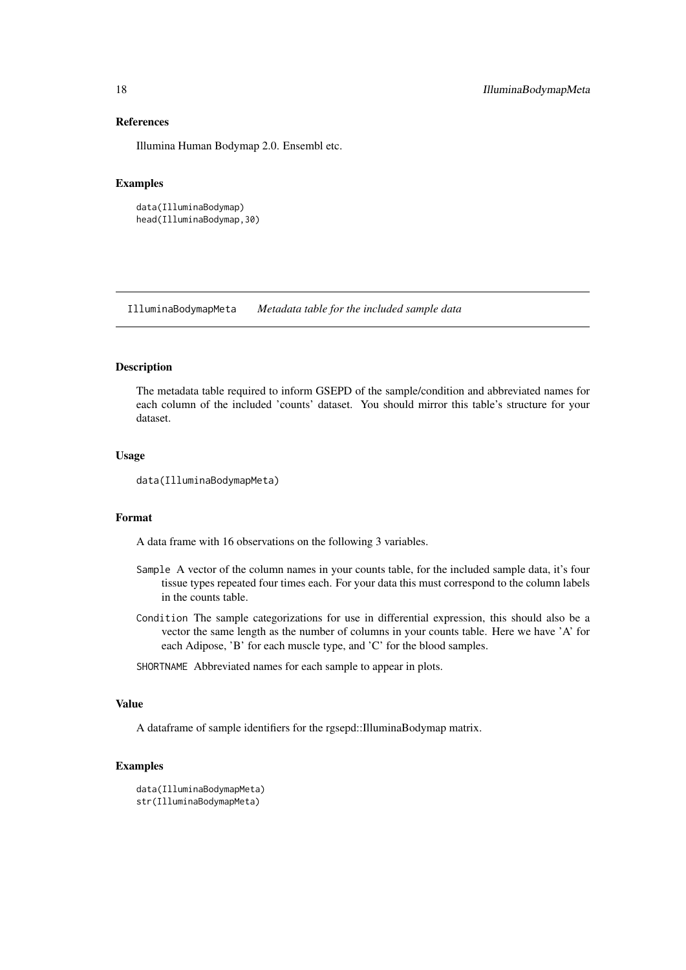# References

Illumina Human Bodymap 2.0. Ensembl etc.

#### Examples

```
data(IlluminaBodymap)
head(IlluminaBodymap,30)
```
IlluminaBodymapMeta *Metadata table for the included sample data*

#### Description

The metadata table required to inform GSEPD of the sample/condition and abbreviated names for each column of the included 'counts' dataset. You should mirror this table's structure for your dataset.

#### Usage

```
data(IlluminaBodymapMeta)
```
#### Format

A data frame with 16 observations on the following 3 variables.

- Sample A vector of the column names in your counts table, for the included sample data, it's four tissue types repeated four times each. For your data this must correspond to the column labels in the counts table.
- Condition The sample categorizations for use in differential expression, this should also be a vector the same length as the number of columns in your counts table. Here we have 'A' for each Adipose, 'B' for each muscle type, and 'C' for the blood samples.
- SHORTNAME Abbreviated names for each sample to appear in plots.

#### Value

A dataframe of sample identifiers for the rgsepd::IlluminaBodymap matrix.

```
data(IlluminaBodymapMeta)
str(IlluminaBodymapMeta)
```
<span id="page-17-0"></span>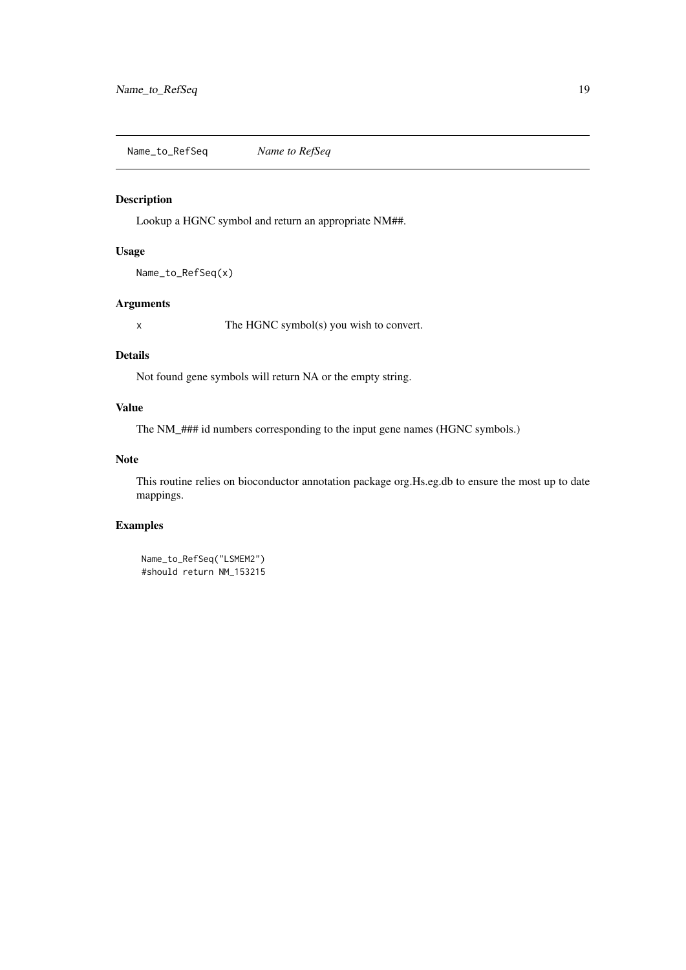<span id="page-18-0"></span>Name\_to\_RefSeq *Name to RefSeq*

# Description

Lookup a HGNC symbol and return an appropriate NM##.

# Usage

Name\_to\_RefSeq(x)

### Arguments

x The HGNC symbol(s) you wish to convert.

#### Details

Not found gene symbols will return NA or the empty string.

# Value

The NM\_### id numbers corresponding to the input gene names (HGNC symbols.)

# Note

This routine relies on bioconductor annotation package org.Hs.eg.db to ensure the most up to date mappings.

```
Name_to_RefSeq("LSMEM2")
#should return NM_153215
```